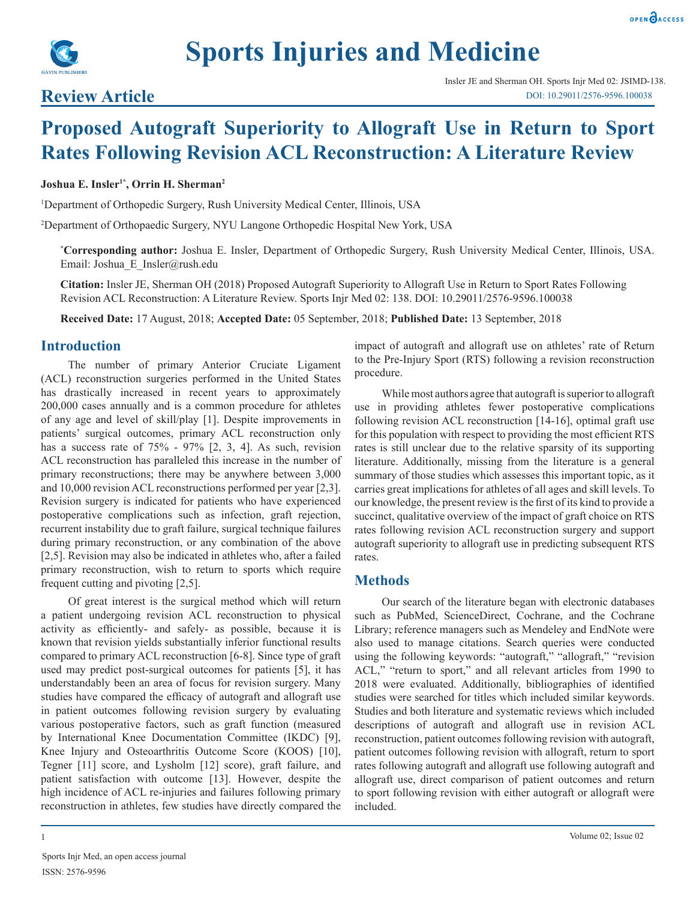



# **Review Article**

# **Proposed Autograft Superiority to Allograft Use in Return to Sport Rates Following Revision ACL Reconstruction: A Literature Review**

#### **Joshua E. Insler1\*, Orrin H. Sherman2**

<sup>1</sup>Department of Orthopedic Surgery, Rush University Medical Center, Illinois, USA

2 Department of Orthopaedic Surgery, NYU Langone Orthopedic Hospital New York, USA

**\* Corresponding author:** Joshua E. Insler, Department of Orthopedic Surgery, Rush University Medical Center, Illinois, USA. Email: Joshua\_E\_Insler@rush.edu

**Citation:** Insler JE, Sherman OH (2018) Proposed Autograft Superiority to Allograft Use in Return to Sport Rates Following Revision ACL Reconstruction: A Literature Review. Sports Injr Med 02: 138. DOI: 10.29011/2576-9596.100038

**Received Date:** 17 August, 2018; **Accepted Date:** 05 September, 2018; **Published Date:** 13 September, 2018

#### **Introduction**

The number of primary Anterior Cruciate Ligament (ACL) reconstruction surgeries performed in the United States has drastically increased in recent years to approximately 200,000 cases annually and is a common procedure for athletes of any age and level of skill/play [1]. Despite improvements in patients' surgical outcomes, primary ACL reconstruction only has a success rate of 75% - 97% [2, 3, 4]. As such, revision ACL reconstruction has paralleled this increase in the number of primary reconstructions; there may be anywhere between 3,000 and 10,000 revision ACL reconstructions performed per year [2,3]. Revision surgery is indicated for patients who have experienced postoperative complications such as infection, graft rejection, recurrent instability due to graft failure, surgical technique failures during primary reconstruction, or any combination of the above [2,5]. Revision may also be indicated in athletes who, after a failed primary reconstruction, wish to return to sports which require frequent cutting and pivoting [2,5].

Of great interest is the surgical method which will return a patient undergoing revision ACL reconstruction to physical activity as efficiently- and safely- as possible, because it is known that revision yields substantially inferior functional results compared to primary ACL reconstruction [6-8]. Since type of graft used may predict post-surgical outcomes for patients [5], it has understandably been an area of focus for revision surgery. Many studies have compared the efficacy of autograft and allograft use in patient outcomes following revision surgery by evaluating various postoperative factors, such as graft function (measured by International Knee Documentation Committee (IKDC) [9], Knee Injury and Osteoarthritis Outcome Score (KOOS) [10], Tegner [11] score, and Lysholm [12] score), graft failure, and patient satisfaction with outcome [13]. However, despite the high incidence of ACL re-injuries and failures following primary reconstruction in athletes, few studies have directly compared the

Sports Injr Med, an open access journal ISSN: 2576-9596

impact of autograft and allograft use on athletes' rate of Return to the Pre-Injury Sport (RTS) following a revision reconstruction procedure.

While most authors agree that autograft is superior to allograft use in providing athletes fewer postoperative complications following revision ACL reconstruction [14-16], optimal graft use for this population with respect to providing the most efficient RTS rates is still unclear due to the relative sparsity of its supporting literature. Additionally, missing from the literature is a general summary of those studies which assesses this important topic, as it carries great implications for athletes of all ages and skill levels. To our knowledge, the present review is the first of its kind to provide a succinct, qualitative overview of the impact of graft choice on RTS rates following revision ACL reconstruction surgery and support autograft superiority to allograft use in predicting subsequent RTS rates.

### **Methods**

Our search of the literature began with electronic databases such as PubMed, ScienceDirect, Cochrane, and the Cochrane Library; reference managers such as Mendeley and EndNote were also used to manage citations. Search queries were conducted using the following keywords: "autograft," "allograft," "revision ACL," "return to sport," and all relevant articles from 1990 to 2018 were evaluated. Additionally, bibliographies of identified studies were searched for titles which included similar keywords. Studies and both literature and systematic reviews which included descriptions of autograft and allograft use in revision ACL reconstruction, patient outcomes following revision with autograft, patient outcomes following revision with allograft, return to sport rates following autograft and allograft use following autograft and allograft use, direct comparison of patient outcomes and return to sport following revision with either autograft or allograft were included.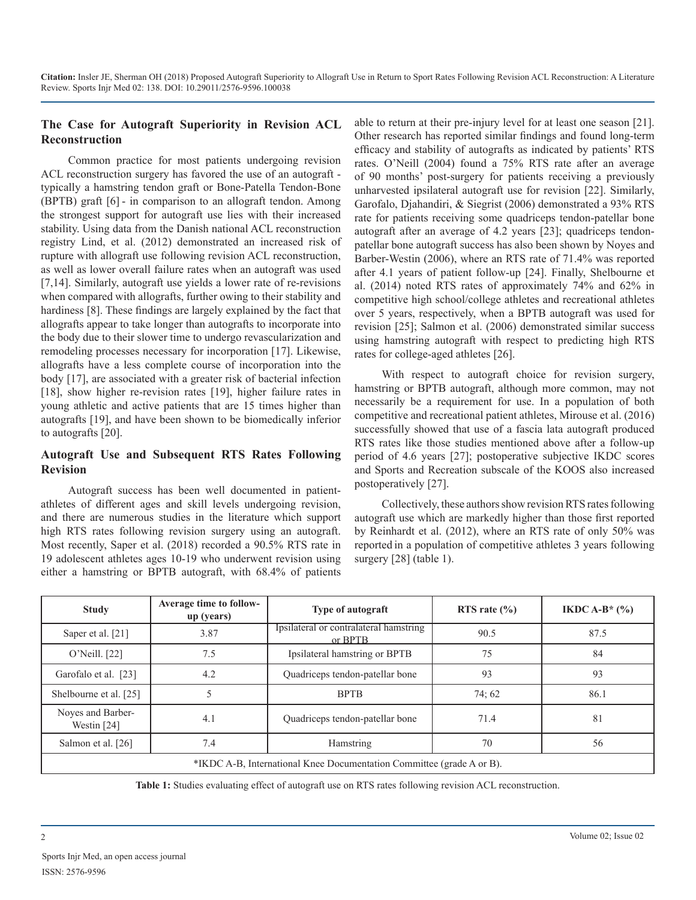## **The Case for Autograft Superiority in Revision ACL Reconstruction**

Common practice for most patients undergoing revision ACL reconstruction surgery has favored the use of an autograft typically a hamstring tendon graft or Bone-Patella Tendon-Bone (BPTB) graft [6] - in comparison to an allograft tendon. Among the strongest support for autograft use lies with their increased stability. Using data from the Danish national ACL reconstruction registry Lind, et al. (2012) demonstrated an increased risk of rupture with allograft use following revision ACL reconstruction, as well as lower overall failure rates when an autograft was used [7,14]. Similarly, autograft use yields a lower rate of re-revisions when compared with allografts, further owing to their stability and hardiness [8]. These findings are largely explained by the fact that allografts appear to take longer than autografts to incorporate into the body due to their slower time to undergo revascularization and remodeling processes necessary for incorporation [17]. Likewise, allografts have a less complete course of incorporation into the body [17], are associated with a greater risk of bacterial infection [18], show higher re-revision rates [19], higher failure rates in young athletic and active patients that are 15 times higher than autografts [19], and have been shown to be biomedically inferior to autografts [20].

#### **Autograft Use and Subsequent RTS Rates Following Revision**

Autograft success has been well documented in patientathletes of different ages and skill levels undergoing revision, and there are numerous studies in the literature which support high RTS rates following revision surgery using an autograft. Most recently, Saper et al. (2018) recorded a 90.5% RTS rate in 19 adolescent athletes ages 10-19 who underwent revision using either a hamstring or BPTB autograft, with 68.4% of patients

able to return at their pre-injury level for at least one season [21]. Other research has reported similar findings and found long-term efficacy and stability of autografts as indicated by patients' RTS rates. O'Neill (2004) found a 75% RTS rate after an average of 90 months' post-surgery for patients receiving a previously unharvested ipsilateral autograft use for revision [22]. Similarly, Garofalo, Djahandiri, & Siegrist (2006) demonstrated a 93% RTS rate for patients receiving some quadriceps tendon-patellar bone autograft after an average of 4.2 years [23]; quadriceps tendonpatellar bone autograft success has also been shown by Noyes and Barber-Westin (2006), where an RTS rate of 71.4% was reported after 4.1 years of patient follow-up [24]. Finally, Shelbourne et al. (2014) noted RTS rates of approximately 74% and 62% in competitive high school/college athletes and recreational athletes over 5 years, respectively, when a BPTB autograft was used for revision [25]; Salmon et al. (2006) demonstrated similar success using hamstring autograft with respect to predicting high RTS rates for college-aged athletes [26].

With respect to autograft choice for revision surgery, hamstring or BPTB autograft, although more common, may not necessarily be a requirement for use. In a population of both competitive and recreational patient athletes, Mirouse et al. (2016) successfully showed that use of a fascia lata autograft produced RTS rates like those studies mentioned above after a follow-up period of 4.6 years [27]; postoperative subjective IKDC scores and Sports and Recreation subscale of the KOOS also increased postoperatively [27].

Collectively, these authors show revision RTS rates following autograft use which are markedly higher than those first reported by Reinhardt et al. (2012), where an RTS rate of only 50% was reported in a population of competitive athletes 3 years following surgery [28] (table 1).

| <b>Study</b>                                                          | <b>Average time to follow-</b><br>up (years) | <b>Type of autograft</b>                          | RTS rate $(\% )$ | IKDC A-B* $(\%$ |
|-----------------------------------------------------------------------|----------------------------------------------|---------------------------------------------------|------------------|-----------------|
| Saper et al. [21]                                                     | 3.87                                         | Ipsilateral or contralateral hamstring<br>or BPTB | 90.5             | 87.5            |
| O'Neill. [22]                                                         | 7.5                                          | Ipsilateral hamstring or BPTB                     | 75               | 84              |
| Garofalo et al. [23]                                                  | 4.2                                          | Quadriceps tendon-patellar bone<br>93             |                  | 93              |
| Shelbourne et al. [25]                                                |                                              | <b>BPTB</b>                                       | 74;62            | 86.1            |
| Noyes and Barber-<br>Westin [24]                                      | 4.1                                          | Quadriceps tendon-patellar bone                   | 71.4             | 81              |
| Salmon et al. [26]                                                    | 7.4                                          | Hamstring                                         | 70               | 56              |
| *IKDC A-B, International Knee Documentation Committee (grade A or B). |                                              |                                                   |                  |                 |

**Table 1:** Studies evaluating effect of autograft use on RTS rates following revision ACL reconstruction.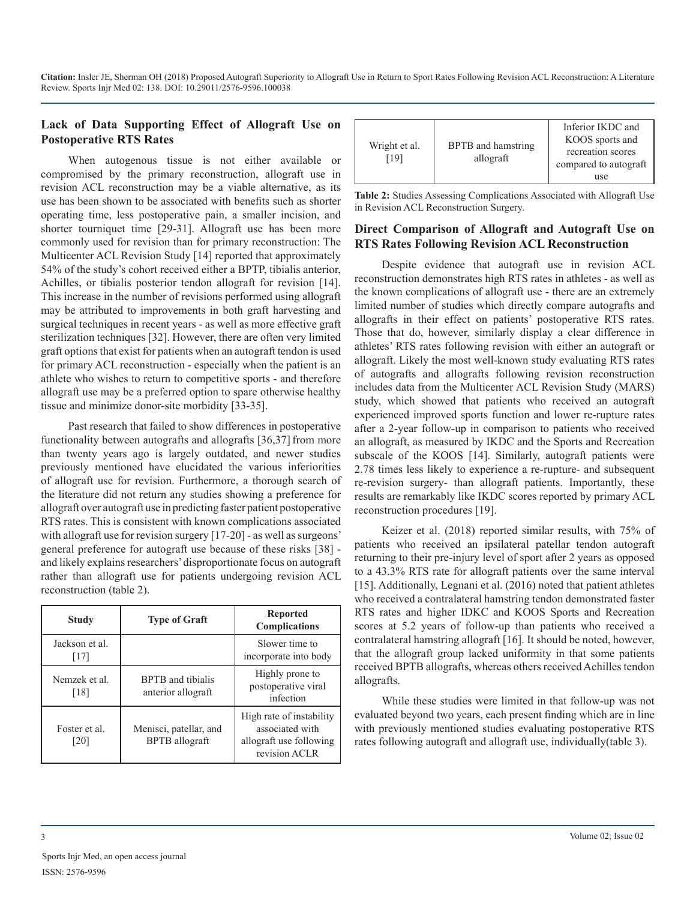**Citation:** Insler JE, Sherman OH (2018) Proposed Autograft Superiority to Allograft Use in Return to Sport Rates Following Revision ACL Reconstruction: A Literature Review. Sports Injr Med 02: 138. DOI: 10.29011/2576-9596.100038

#### **Lack of Data Supporting Effect of Allograft Use on Postoperative RTS Rates**

When autogenous tissue is not either available or compromised by the primary reconstruction, allograft use in revision ACL reconstruction may be a viable alternative, as its use has been shown to be associated with benefits such as shorter operating time, less postoperative pain, a smaller incision, and shorter tourniquet time [29-31]. Allograft use has been more commonly used for revision than for primary reconstruction: The Multicenter ACL Revision Study [14] reported that approximately 54% of the study's cohort received either a BPTP, tibialis anterior, Achilles, or tibialis posterior tendon allograft for revision [14]. This increase in the number of revisions performed using allograft may be attributed to improvements in both graft harvesting and surgical techniques in recent years - as well as more effective graft sterilization techniques [32]. However, there are often very limited graft options that exist for patients when an autograft tendon is used for primary ACL reconstruction - especially when the patient is an athlete who wishes to return to competitive sports - and therefore allograft use may be a preferred option to spare otherwise healthy tissue and minimize donor-site morbidity [33-35].

Past research that failed to show differences in postoperative functionality between autografts and allografts [36,37] from more than twenty years ago is largely outdated, and newer studies previously mentioned have elucidated the various inferiorities of allograft use for revision. Furthermore, a thorough search of the literature did not return any studies showing a preference for allograft over autograft use in predicting faster patient postoperative RTS rates. This is consistent with known complications associated with allograft use for revision surgery [17-20] - as well as surgeons' general preference for autograft use because of these risks [38] and likely explains researchers' disproportionate focus on autograft rather than allograft use for patients undergoing revision ACL reconstruction (table 2).

| <b>Study</b>           | <b>Type of Graft</b>                            | <b>Reported</b><br><b>Complications</b>                                                 |
|------------------------|-------------------------------------------------|-----------------------------------------------------------------------------------------|
| Jackson et al.<br>[17] |                                                 | Slower time to<br>incorporate into body                                                 |
| Nemzek et al.<br>[18]  | <b>BPTB</b> and tibialis<br>anterior allograft  | Highly prone to<br>postoperative viral<br>infection                                     |
| Foster et al.<br>[20]  | Menisci, patellar, and<br><b>BPTB</b> allograft | High rate of instability<br>associated with<br>allograft use following<br>revision ACLR |

| BPTB and hamstring<br>Wright et al.<br>[19]<br>allograft | Inferior IKDC and<br>KOOS sports and<br>recreation scores<br>compared to autograft<br>use |
|----------------------------------------------------------|-------------------------------------------------------------------------------------------|
|----------------------------------------------------------|-------------------------------------------------------------------------------------------|

**Table 2:** Studies Assessing Complications Associated with Allograft Use in Revision ACL Reconstruction Surgery.

#### **Direct Comparison of Allograft and Autograft Use on RTS Rates Following Revision ACL Reconstruction**

Despite evidence that autograft use in revision ACL reconstruction demonstrates high RTS rates in athletes - as well as the known complications of allograft use - there are an extremely limited number of studies which directly compare autografts and allografts in their effect on patients' postoperative RTS rates. Those that do, however, similarly display a clear difference in athletes' RTS rates following revision with either an autograft or allograft. Likely the most well-known study evaluating RTS rates of autografts and allografts following revision reconstruction includes data from the Multicenter ACL Revision Study (MARS) study, which showed that patients who received an autograft experienced improved sports function and lower re-rupture rates after a 2-year follow-up in comparison to patients who received an allograft, as measured by IKDC and the Sports and Recreation subscale of the KOOS [14]. Similarly, autograft patients were 2.78 times less likely to experience a re-rupture- and subsequent re-revision surgery- than allograft patients. Importantly, these results are remarkably like IKDC scores reported by primary ACL reconstruction procedures [19].

Keizer et al. (2018) reported similar results, with 75% of patients who received an ipsilateral patellar tendon autograft returning to their pre-injury level of sport after 2 years as opposed to a 43.3% RTS rate for allograft patients over the same interval [15]. Additionally, Legnani et al. (2016) noted that patient athletes who received a contralateral hamstring tendon demonstrated faster RTS rates and higher IDKC and KOOS Sports and Recreation scores at 5.2 years of follow-up than patients who received a contralateral hamstring allograft [16]. It should be noted, however, that the allograft group lacked uniformity in that some patients received BPTB allografts, whereas others received Achilles tendon allografts.

While these studies were limited in that follow-up was not evaluated beyond two years, each present finding which are in line with previously mentioned studies evaluating postoperative RTS rates following autograft and allograft use, individually(table 3).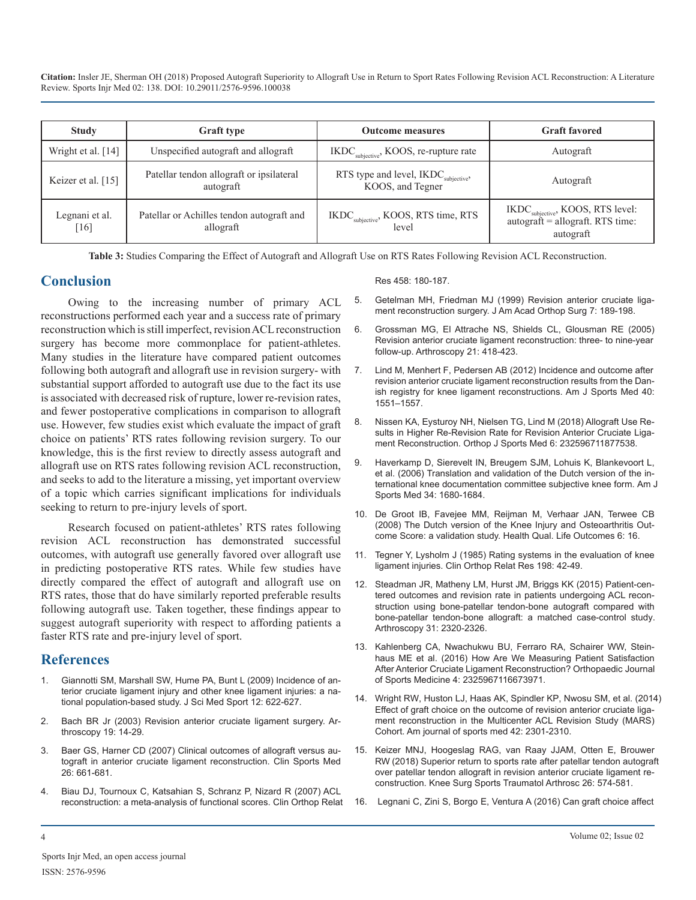**Citation:** Insler JE, Sherman OH (2018) Proposed Autograft Superiority to Allograft Use in Return to Sport Rates Following Revision ACL Reconstruction: A Literature Review. Sports Injr Med 02: 138. DOI: 10.29011/2576-9596.100038

| <b>Study</b>             | <b>Graft type</b>                                      | <b>Outcome measures</b>                                              | <b>Graft favored</b>                                                                              |
|--------------------------|--------------------------------------------------------|----------------------------------------------------------------------|---------------------------------------------------------------------------------------------------|
| Wright et al. $[14]$     | Unspecified autograft and allograft                    | $IKDCsubjective$ , KOOS, re-rupture rate                             | Autograft                                                                                         |
| Keizer et al. [15]       | Patellar tendon allograft or ipsilateral<br>autograft  | RTS type and level, IKDC <sub>subjective</sub> ,<br>KOOS, and Tegner | Autograft                                                                                         |
| Legnani et al.<br>$[16]$ | Patellar or Achilles tendon autograft and<br>allograft | IKDC <sub>subjective</sub> , KOOS, RTS time, RTS<br>level            | IKDC <sub>subjective</sub> , KOOS, RTS level:<br>$autografi = allograft$ . RTS time:<br>autograft |

**Table 3:** Studies Comparing the Effect of Autograft and Allograft Use on RTS Rates Following Revision ACL Reconstruction.

### **Conclusion**

Owing to the increasing number of primary ACL reconstructions performed each year and a success rate of primary reconstruction which is still imperfect, revision ACL reconstruction surgery has become more commonplace for patient-athletes. Many studies in the literature have compared patient outcomes following both autograft and allograft use in revision surgery- with substantial support afforded to autograft use due to the fact its use is associated with decreased risk of rupture, lower re-revision rates, and fewer postoperative complications in comparison to allograft use. However, few studies exist which evaluate the impact of graft choice on patients' RTS rates following revision surgery. To our knowledge, this is the first review to directly assess autograft and allograft use on RTS rates following revision ACL reconstruction, and seeks to add to the literature a missing, yet important overview of a topic which carries significant implications for individuals seeking to return to pre-injury levels of sport.

Research focused on patient-athletes' RTS rates following revision ACL reconstruction has demonstrated successful outcomes, with autograft use generally favored over allograft use in predicting postoperative RTS rates. While few studies have directly compared the effect of autograft and allograft use on RTS rates, those that do have similarly reported preferable results following autograft use. Taken together, these findings appear to suggest autograft superiority with respect to affording patients a faster RTS rate and pre-injury level of sport.

### **References**

- 1. [Giannotti SM, Marshall SW, Hume PA, Bunt L \(2009\) Incidence of an](https://www.ncbi.nlm.nih.gov/pubmed/18835221)terior cruciate ligament injury and other knee ligament injuries: a na[tional population-based study.](https://www.ncbi.nlm.nih.gov/pubmed/18835221) J Sci Med Sport 12: 622-627.
- 2. Bach BR Jr (2003) [Revision anterior cruciate ligament surgery.](https://www.ncbi.nlm.nih.gov/pubmed/14673415) Arthroscopy 19: 14-29.
- 3. [Baer GS, Harner CD \(2007\) Clinical outcomes of allograft versus au](https://www.ncbi.nlm.nih.gov/pubmed/17920959)tograft in anterior cruciate ligament reconstruction. Clin Sports Med [26: 661-681.](https://www.ncbi.nlm.nih.gov/pubmed/17920959)
- 4. [Biau DJ, Tournoux C, Katsahian S, Schranz P, Nizard R \(2007\) ACL](https://www.ncbi.nlm.nih.gov/pubmed/17308473)  reconstruction: a meta-analysis of functional scores. Clin Orthop Relat

#### [Res 458: 180-187.](https://www.ncbi.nlm.nih.gov/pubmed/17308473)

- 5. [Getelman MH, Friedman MJ \(1999\)](https://www.ncbi.nlm.nih.gov/pubmed/10346827) Revision anterior cruciate [liga](https://www.ncbi.nlm.nih.gov/pubmed/10346827)ment reconstruction surgery. J Am Acad Orthop Surg 7: 189-198.
- 6. Grossman MG, El Attrache NS, Shields CL, [Glousman RE \(2005\)](https://www.ncbi.nlm.nih.gov/pubmed/15800521) Revision anterior cruciate ligament reconstruction: three- to nine-year [follow-up. Arthroscopy 21: 418-423.](https://www.ncbi.nlm.nih.gov/pubmed/15800521)
- 7. [Lind M, Menhert F, Pedersen AB \(2012\) Incidence and outcome after](https://www.ncbi.nlm.nih.gov/pubmed/22562791)  revision anterior cruciate ligament reconstruction results from the Dan[ish registry for knee ligament reconstructions. Am J Sports Med 40:](https://www.ncbi.nlm.nih.gov/pubmed/22562791)  [1551–1557.](https://www.ncbi.nlm.nih.gov/pubmed/22562791)
- 8. Nissen KA, Eysturoy NH, Nielsen TG, [Lind M \(2018\) Allograft Use Re](https://www.ncbi.nlm.nih.gov/pubmed/29900180)sults in Higher Re-Revision Rate for Revision Anterior Cruciate Liga[ment Reconstruction. Orthop J Sports Med 6: 232596711877538.](https://www.ncbi.nlm.nih.gov/pubmed/29900180)
- 9. [Haverkamp D, Sierevelt IN, Breugem SJM, Lohuis K, Blankevoort L,](https://www.ncbi.nlm.nih.gov/pubmed/29900180)  et al. (2006) Translation and validation of the Dutch version of the in[ternational knee documentation committee subjective knee form. Am J](https://www.ncbi.nlm.nih.gov/pubmed/29900180)  [Sports Med 34: 1680-1684.](https://www.ncbi.nlm.nih.gov/pubmed/29900180)
- 10. [De Groot IB, Favejee MM, Reijman M, Verhaar JAN, Terwee CB](https://www.ncbi.nlm.nih.gov/pmc/articles/PMC2289810/)  (2008) The Dutch version of the Knee Injury and Osteoarthritis Out[come Score: a validation study. Health Qual. Life Outcomes 6: 16.](https://www.ncbi.nlm.nih.gov/pmc/articles/PMC2289810/)
- 11. [Tegner Y, Lysholm J \(1985\) Rating systems in the evaluation of knee](https://www.ncbi.nlm.nih.gov/pubmed/4028566)  ligament injuries. Clin Orthop Relat Res 198: 42-49.
- 12. [Steadman JR, Matheny LM, Hurst JM, Briggs KK \(2015\) Patient-cen](https://www.ncbi.nlm.nih.gov/pubmed/26276092)tered outcomes and revision rate in patients undergoing ACL recon[struction using bone-patellar tendon-bone autograft compared with](https://www.ncbi.nlm.nih.gov/pubmed/26276092)  [bone-patellar tendon-bone allograft: a matched case-control study.](https://www.ncbi.nlm.nih.gov/pubmed/26276092) [Arthroscopy 31: 2320-2326.](https://www.ncbi.nlm.nih.gov/pubmed/26276092)
- 13. [Kahlenberg CA, Nwachukwu BU, Ferraro RA, Schairer WW, Stein](https://www.ncbi.nlm.nih.gov/pubmed/26276092)haus ME et al. (2016) How Are We Measuring Patient Satisfactio[n](https://www.ncbi.nlm.nih.gov/pubmed/26276092)  [After Anterior Cruciate Ligament Reconstruction?](https://www.ncbi.nlm.nih.gov/pubmed/26276092) Orthopaedic Journal [of Sports Medicine 4: 2325967116673971.](https://www.ncbi.nlm.nih.gov/pubmed/26276092)
- 14. [Wright RW, Huston LJ, Haas AK, Spindler KP, Nwosu SM, et al. \(201](https://www.ncbi.nlm.nih.gov/pmc/articles/PMC4447184/)[4\)](https://www.ncbi.nlm.nih.gov/pubmed/18835221)  Effect of graft choice on the outcome of revision anterior cruciate liga[ment reconstruction in the Multicenter ACL Revision Study \(MARS\)](https://www.ncbi.nlm.nih.gov/pmc/articles/PMC4447184/)  Cohort. [Am journal of sports med 42: 2301-2310.](https://www.ncbi.nlm.nih.gov/pubmed/14673415)
- 15. Keizer MNJ, [Hoogeslag RAG,](https://www.ncbi.nlm.nih.gov/pubmed/28624854) van Raay JJAM, Otten E, Brouwer RW [\(2018\) Superior return to sports rate after patellar tendon autograft](https://www.ncbi.nlm.nih.gov/pubmed/17920959)  [over patellar tendon allograft in](https://www.ncbi.nlm.nih.gov/pubmed/28624854) revision anterior cruciate ligament reconstruction. [Knee Surg Sports Traumatol Arthrosc 26: 574-581.](https://www.ncbi.nlm.nih.gov/pubmed/28624854)
- 16. [Legnani C, Zini S, Borgo E, Ventura A](https://www.ncbi.nlm.nih.gov/pubmed/17308473) (2016) Can graft choice affect